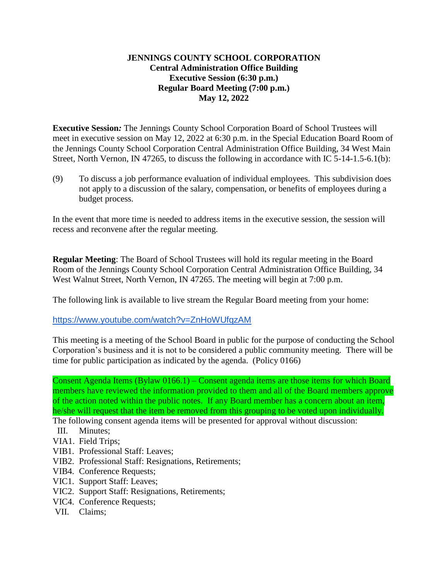## **JENNINGS COUNTY SCHOOL CORPORATION Central Administration Office Building Executive Session (6:30 p.m.) Regular Board Meeting (7:00 p.m.) May 12, 2022**

**Executive Session***:* The Jennings County School Corporation Board of School Trustees will meet in executive session on May 12, 2022 at 6:30 p.m. in the Special Education Board Room of the Jennings County School Corporation Central Administration Office Building, 34 West Main Street, North Vernon, IN 47265, to discuss the following in accordance with IC 5-14-1.5-6.1(b):

(9) To discuss a job performance evaluation of individual employees. This subdivision does not apply to a discussion of the salary, compensation, or benefits of employees during a budget process.

In the event that more time is needed to address items in the executive session, the session will recess and reconvene after the regular meeting.

**Regular Meeting**: The Board of School Trustees will hold its regular meeting in the Board Room of the Jennings County School Corporation Central Administration Office Building, 34 West Walnut Street, North Vernon, IN 47265. The meeting will begin at 7:00 p.m.

The following link is available to live stream the Regular Board meeting from your home:

<https://www.youtube.com/watch?v=ZnHoWUfqzAM>

This meeting is a meeting of the School Board in public for the purpose of conducting the School Corporation's business and it is not to be considered a public community meeting. There will be time for public participation as indicated by the agenda. (Policy 0166)

Consent Agenda Items (Bylaw 0166.1) – Consent agenda items are those items for which Board members have reviewed the information provided to them and all of the Board members approve of the action noted within the public notes. If any Board member has a concern about an item, he/she will request that the item be removed from this grouping to be voted upon individually.

- The following consent agenda items will be presented for approval without discussion:
- III. Minutes;
- VIA1. Field Trips;
- VIB1. Professional Staff: Leaves;
- VIB2. Professional Staff: Resignations, Retirements;
- VIB4. Conference Requests;
- VIC1. Support Staff: Leaves;
- VIC2. Support Staff: Resignations, Retirements;
- VIC4. Conference Requests;
- VII. Claims;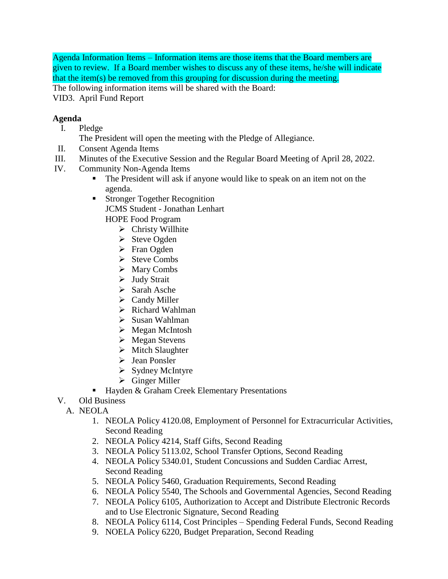Agenda Information Items – Information items are those items that the Board members are given to review. If a Board member wishes to discuss any of these items, he/she will indicate that the item(s) be removed from this grouping for discussion during the meeting.

The following information items will be shared with the Board:

VID3. April Fund Report

## **Agenda**

- I. Pledge
	- The President will open the meeting with the Pledge of Allegiance.
- II. Consent Agenda Items
- III. Minutes of the Executive Session and the Regular Board Meeting of April 28, 2022.
- IV. Community Non-Agenda Items
	- The President will ask if anyone would like to speak on an item not on the agenda.
	- **Stronger Together Recognition** JCMS Student - Jonathan Lenhart HOPE Food Program
		- $\triangleright$  Christy Willhite
		- $\triangleright$  Steve Ogden
		- $\triangleright$  Fran Ogden
		- $\triangleright$  Steve Combs
		- $\triangleright$  Mary Combs
		- $\triangleright$  Judy Strait
		- $\triangleright$  Sarah Asche
		- $\triangleright$  Candy Miller
		- $\triangleright$  Richard Wahlman
		- $\triangleright$  Susan Wahlman
		- $\triangleright$  Megan McIntosh
		- Megan Stevens
		- $\triangleright$  Mitch Slaughter
		- > Jean Ponsler
		- $\triangleright$  Sydney McIntyre
		- Ginger Miller
	- Hayden & Graham Creek Elementary Presentations
- V. Old Business
	- A. NEOLA
		- 1. NEOLA Policy 4120.08, Employment of Personnel for Extracurricular Activities, Second Reading
		- 2. NEOLA Policy 4214, Staff Gifts, Second Reading
		- 3. NEOLA Policy 5113.02, School Transfer Options, Second Reading
		- 4. NEOLA Policy 5340.01, Student Concussions and Sudden Cardiac Arrest, Second Reading
		- 5. NEOLA Policy 5460, Graduation Requirements, Second Reading
		- 6. NEOLA Policy 5540, The Schools and Governmental Agencies, Second Reading
		- 7. NEOLA Policy 6105, Authorization to Accept and Distribute Electronic Records and to Use Electronic Signature, Second Reading
		- 8. NEOLA Policy 6114, Cost Principles Spending Federal Funds, Second Reading
		- 9. NOELA Policy 6220, Budget Preparation, Second Reading